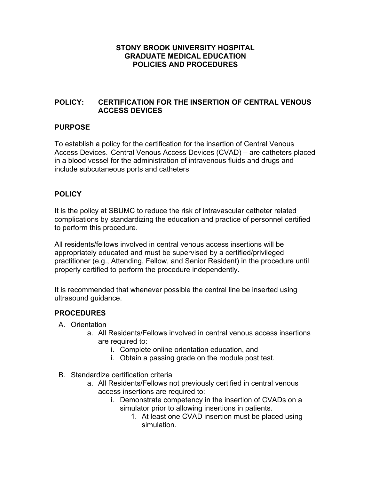### **STONY BROOK UNIVERSITY HOSPITAL GRADUATE MEDICAL EDUCATION POLICIES AND PROCEDURES**

## **POLICY: CERTIFICATION FOR THE INSERTION OF CENTRAL VENOUS ACCESS DEVICES**

# **PURPOSE**

To establish a policy for the certification for the insertion of Central Venous Access Devices. Central Venous Access Devices (CVAD) – are catheters placed in a blood vessel for the administration of intravenous fluids and drugs and include subcutaneous ports and catheters

## **POLICY**

It is the policy at SBUMC to reduce the risk of intravascular catheter related complications by standardizing the education and practice of personnel certified to perform this procedure.

All residents/fellows involved in central venous access insertions will be appropriately educated and must be supervised by a certified/privileged practitioner (e.g., Attending, Fellow, and Senior Resident) in the procedure until properly certified to perform the procedure independently.

It is recommended that whenever possible the central line be inserted using ultrasound guidance.

### **PROCEDURES**

- A. Orientation
	- a. All Residents/Fellows involved in central venous access insertions are required to:
		- i. Complete online orientation education, and
		- ii. Obtain a passing grade on the module post test.
- B. Standardize certification criteria
	- a. All Residents/Fellows not previously certified in central venous access insertions are required to:
		- i. Demonstrate competency in the insertion of CVADs on a simulator prior to allowing insertions in patients.
			- 1. At least one CVAD insertion must be placed using simulation.